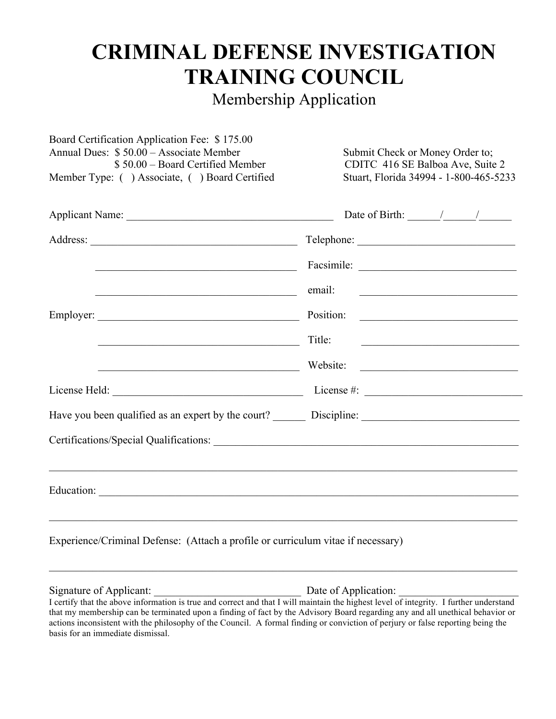# **CRIMINAL DEFENSE INVESTIGATION TRAINING COUNCIL**

Membership Application

| Board Certification Application Fee: \$175.00<br>Annual Dues: \$50.00 - Associate Member<br>\$50.00 - Board Certified Member<br>Member Type: () Associate, () Board Certified | Submit Check or Money Order to;<br>CDITC 416 SE Balboa Ave, Suite 2<br>Stuart, Florida 34994 - 1-800-465-5233                                                                                                                  |
|-------------------------------------------------------------------------------------------------------------------------------------------------------------------------------|--------------------------------------------------------------------------------------------------------------------------------------------------------------------------------------------------------------------------------|
|                                                                                                                                                                               | Date of Birth: $\frac{1}{\sqrt{2\pi}}$                                                                                                                                                                                         |
| <u> 1989 - Johann Stein, fransk politik (d. 1989)</u>                                                                                                                         |                                                                                                                                                                                                                                |
|                                                                                                                                                                               |                                                                                                                                                                                                                                |
|                                                                                                                                                                               | email: 2008. The contract of the contract of the contract of the contract of the contract of the contract of the contract of the contract of the contract of the contract of the contract of the contract of the contract of t |
| <u> 1989 - Johann Stein, fransk politik (d. 1989)</u>                                                                                                                         |                                                                                                                                                                                                                                |
|                                                                                                                                                                               | Title:<br><u> 1999 - Jan James James Barnett, martin eta idazlea (</u>                                                                                                                                                         |
|                                                                                                                                                                               | Website:                                                                                                                                                                                                                       |
|                                                                                                                                                                               |                                                                                                                                                                                                                                |
| Have you been qualified as an expert by the court? Discipline: Discipline:                                                                                                    |                                                                                                                                                                                                                                |
|                                                                                                                                                                               |                                                                                                                                                                                                                                |
|                                                                                                                                                                               |                                                                                                                                                                                                                                |
| Experience/Criminal Defense: (Attach a profile or curriculum vitae if necessary)                                                                                              |                                                                                                                                                                                                                                |

Signature of Applicant:  $\Box$  Date of Application:

I certify that the above information is true and correct and that I will maintain the highest level of integrity. I further understand that my membership can be terminated upon a finding of fact by the Advisory Board regarding any and all unethical behavior or actions inconsistent with the philosophy of the Council. A formal finding or conviction of perjury or false reporting being the basis for an immediate dismissal.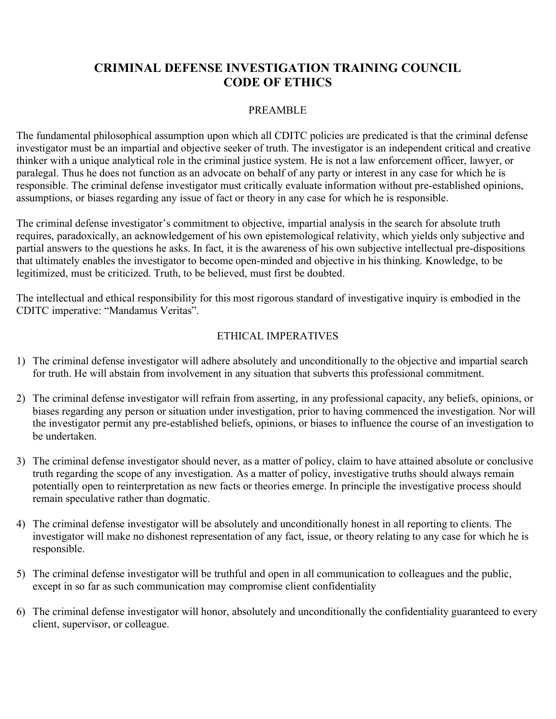#### **CRIMINAL DEFENSE INVESTIGATION TRAINING COUNCIL CODE OF ETHICS**

#### PREAMBLE

The fundamental philosophical assumption upon which all CDITC policies are predicated is that the criminal defense investigator must be an impartial and objective seeker of truth. The investigator is an independent critical and creative thinker with a unique analytical role in the criminal justice system. He is not a law enforcement officer, lawyer, or paralegal. Thus he does not function as an advocate on behalf of any party or interest in any case for which he is responsible. The criminal defense investigator must critically evaluate information without pre-established opinions, assumptions, or biases regarding any issue of fact or theory in any case for which he is responsible.

The criminal defense investigator's commitment to objective, impartial analysis in the search for absolute truth requires, paradoxically, an acknowledgement of his own epistemological relativity, which yields only subjective and partial answers to the questions he asks. In fact, it is the awareness of his own subjective intellectual pre-dispositions that ultimately enables the investigator to become open-minded and objective in his thinking. Knowledge, to be legitimized, must be criticized. Truth, to be believed, must first be doubted.

The intellectual and ethical responsibility for this most rigorous standard of investigative inquiry is embodied in the CDITC imperative: "Mandamus Veritas".

#### ETHICAL IMPERATIVES

- 1) The criminal defense investigator will adhere absolutely and unconditionally to the objective and impartial search for truth. He will abstain from involvement in any situation that subverts this professional commitment.
- 2) The criminal defense investigator will refrain from asserting, in any professional capacity, any beliefs, opinions, or biases regarding any person or situation under investigation, prior to having commenced the investigation. Nor will the investigator permit any pre-established beliefs, opinions, or biases to influence the course of an investigation to be undertaken.
- 3) The criminal defense investigator should never, as a matter of policy, claim to have attained absolute or conclusive truth regarding the scope of any investigation. As a matter of policy, investigative truths should always remain potentially open to reinterpretation as new facts or theories emerge. In principle the investigative process should remain speculative rather than dogmatic.
- 4) The criminal defense investigator will be absolutely and unconditionally honest in all reporting to clients. The investigator will make no dishonest representation of any fact, issue, or theory relating to any case for which he is responsible.
- 5) The criminal defense investigator will be truthful and open in all communication to colleagues and the public, except in so far as such communication may compromise client confidentiality
- 6) The criminal defense investigator will honor, absolutely and unconditionally the confidentiality guaranteed to every client, supervisor, or colleague.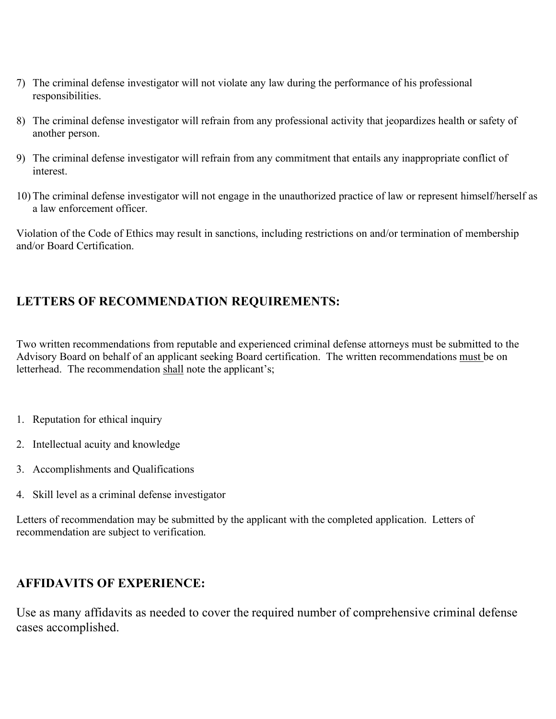- 7) The criminal defense investigator will not violate any law during the performance of his professional responsibilities.
- 8) The criminal defense investigator will refrain from any professional activity that jeopardizes health or safety of another person.
- 9) The criminal defense investigator will refrain from any commitment that entails any inappropriate conflict of interest.
- 10) The criminal defense investigator will not engage in the unauthorized practice of law or represent himself/herself as a law enforcement officer.

Violation of the Code of Ethics may result in sanctions, including restrictions on and/or termination of membership and/or Board Certification.

## **LETTERS OF RECOMMENDATION REQUIREMENTS:**

Two written recommendations from reputable and experienced criminal defense attorneys must be submitted to the Advisory Board on behalf of an applicant seeking Board certification. The written recommendations must be on letterhead. The recommendation shall note the applicant's;

- 1. Reputation for ethical inquiry
- 2. Intellectual acuity and knowledge
- 3. Accomplishments and Qualifications
- 4. Skill level as a criminal defense investigator

Letters of recommendation may be submitted by the applicant with the completed application. Letters of recommendation are subject to verification.

## **AFFIDAVITS OF EXPERIENCE:**

Use as many affidavits as needed to cover the required number of comprehensive criminal defense cases accomplished.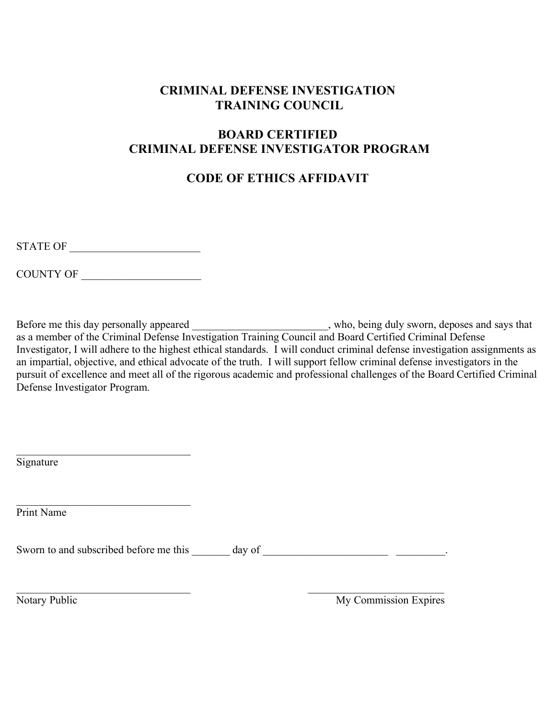#### **CRIMINAL DEFENSE INVESTIGATION TRAINING COUNCIL**

#### **BOARD CERTIFIED CRIMINAL DEFENSE INVESTIGATOR PROGRAM**

#### **CODE OF ETHICS AFFIDAVIT**

COUNTY OF \_\_\_\_\_\_\_\_\_\_\_\_\_\_\_\_\_\_\_\_\_\_

 $\mathcal{L}_\text{max}$  , and the set of the set of the set of the set of the set of the set of the set of the set of the set of the set of the set of the set of the set of the set of the set of the set of the set of the set of the

\_\_\_\_\_\_\_\_\_\_\_\_\_\_\_\_\_\_\_\_\_\_\_\_\_\_\_\_\_\_\_\_

Before me this day personally appeared \_\_\_\_\_\_\_\_\_\_\_\_\_\_\_\_\_\_\_\_\_\_, who, being duly sworn, deposes and says that as a member of the Criminal Defense Investigation Training Council and Board Certified Criminal Defense Investigator, I will adhere to the highest ethical standards. I will conduct criminal defense investigation assignments as an impartial, objective, and ethical advocate of the truth. I will support fellow criminal defense investigators in the pursuit of excellence and meet all of the rigorous academic and professional challenges of the Board Certified Criminal Defense Investigator Program.

**Signature** 

Print Name

Sworn to and subscribed before me this \_\_\_\_\_\_\_ day of \_\_\_\_\_\_\_\_\_\_\_\_\_\_\_\_\_\_\_\_\_\_\_ \_\_\_\_\_\_\_\_\_.

 $\mathcal{L}_\text{max}$  , and the contribution of the contribution of the contribution of the contribution of the contribution of the contribution of the contribution of the contribution of the contribution of the contribution of t

Notary Public My Commission Expires